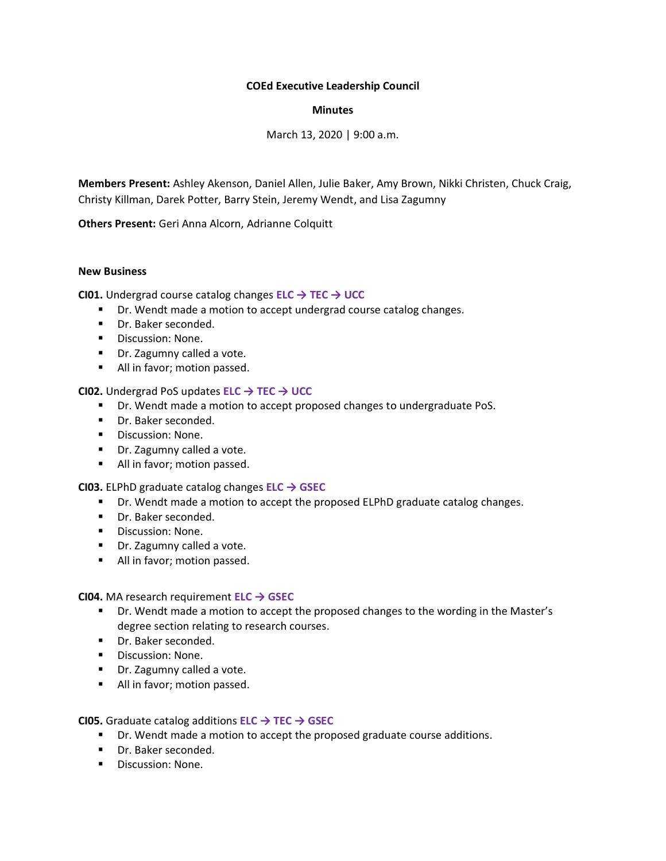# **COEd Executive Leadership Council**

# **Minutes**

March 13, 2020 | 9:00 a.m.

**Members Present:** Ashley Akenson, Daniel Allen, Julie Baker, Amy Brown, Nikki Christen, Chuck Craig, Christy Killman, Darek Potter, Barry Stein, Jeremy Wendt, and Lisa Zagumny

**Others Present:** Geri Anna Alcorn, Adrianne Colquitt

### **New Business**

**CI01.** Undergrad course catalog changes **ELC → TEC → UCC**

- Dr. Wendt made a motion to accept undergrad course catalog changes.
- Dr. Baker seconded.
- Discussion: None.
- Dr. Zagumny called a vote.
- All in favor; motion passed.

# **CI02.** Undergrad PoS updates **ELC → TEC → UCC**

- Dr. Wendt made a motion to accept proposed changes to undergraduate PoS.
- Dr. Baker seconded.
- Discussion: None.
- Dr. Zagumny called a vote.
- All in favor; motion passed.

### **CI03.** ELPhD graduate catalog changes **ELC → GSEC**

- Dr. Wendt made a motion to accept the proposed ELPhD graduate catalog changes.
- Dr. Baker seconded.
- Discussion: None.
- Dr. Zagumny called a vote.
- All in favor; motion passed.

**CI04.** MA research requirement **ELC → GSEC**

- Dr. Wendt made a motion to accept the proposed changes to the wording in the Master's degree section relating to research courses.
- Dr. Baker seconded.
- Discussion: None.
- Dr. Zagumny called a vote.
- All in favor; motion passed.

**CI05.** Graduate catalog additions **ELC → TEC → GSEC**

- Dr. Wendt made a motion to accept the proposed graduate course additions.
- Dr. Baker seconded.
- Discussion: None.